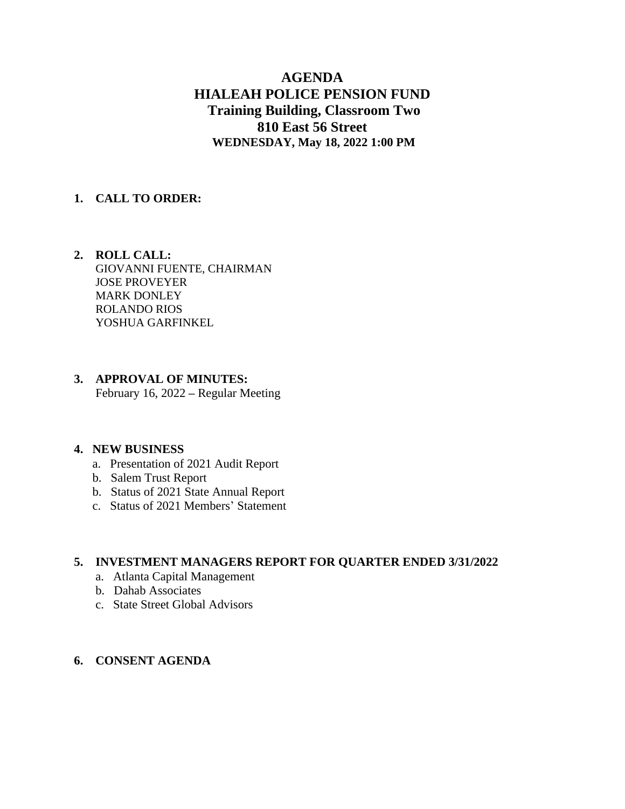# **AGENDA HIALEAH POLICE PENSION FUND Training Building, Classroom Two 810 East 56 Street WEDNESDAY, May 18, 2022 1:00 PM**

## **1. CALL TO ORDER:**

 **2. ROLL CALL:** GIOVANNI FUENTE, CHAIRMAN JOSE PROVEYER MARK DONLEY ROLANDO RIOS YOSHUA GARFINKEL

## **3. APPROVAL OF MINUTES:** February 16, 2022 **–** Regular Meeting

#### **4. NEW BUSINESS**

- a. Presentation of 2021 Audit Report
- b. Salem Trust Report
- b. Status of 2021 State Annual Report
- c. Status of 2021 Members' Statement

#### **5. INVESTMENT MANAGERS REPORT FOR QUARTER ENDED 3/31/2022**

- a. Atlanta Capital Management
- b. Dahab Associates
- c. State Street Global Advisors

## **6. CONSENT AGENDA**